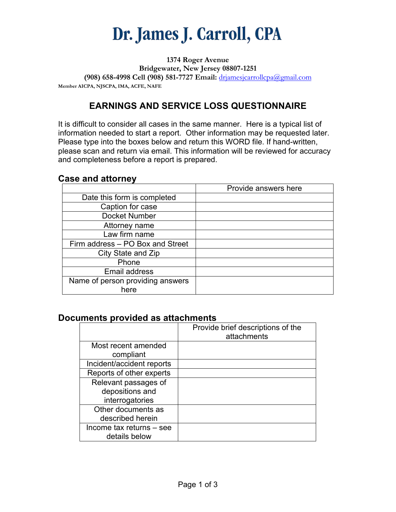# Dr. James J. Carroll, CPA

**1374 Roger Avenue Bridgewater, New Jersey 08807-1251 (908) 658-4998 Cell (908) 581-7727 Email:** drjamesjcarrollcpa@gmail.com **Member AICPA, NJSCPA, IMA, ACFE, NAFE**

# **EARNINGS AND SERVICE LOSS QUESTIONNAIRE**

It is difficult to consider all cases in the same manner. Here is a typical list of information needed to start a report. Other information may be requested later. Please type into the boxes below and return this WORD file. If hand-written, please scan and return via email. This information will be reviewed for accuracy and completeness before a report is prepared.

#### **Case and attorney**

|                                  | Provide answers here |
|----------------------------------|----------------------|
| Date this form is completed      |                      |
| Caption for case                 |                      |
| <b>Docket Number</b>             |                      |
| Attorney name                    |                      |
| Law firm name                    |                      |
| Firm address - PO Box and Street |                      |
| City State and Zip               |                      |
| Phone                            |                      |
| Email address                    |                      |
| Name of person providing answers |                      |
| here                             |                      |

#### **Documents provided as attachments**

|                           | Provide brief descriptions of the<br>attachments |
|---------------------------|--------------------------------------------------|
| Most recent amended       |                                                  |
| compliant                 |                                                  |
| Incident/accident reports |                                                  |
| Reports of other experts  |                                                  |
| Relevant passages of      |                                                  |
| depositions and           |                                                  |
| interrogatories           |                                                  |
| Other documents as        |                                                  |
| described herein          |                                                  |
| Income tax returns - see  |                                                  |
| details below             |                                                  |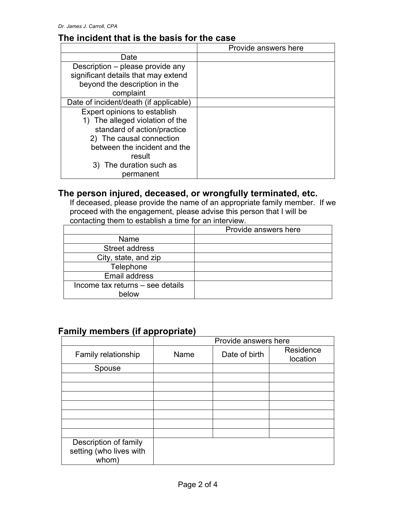#### **The incident that is the basis for the case**

|                                        | Provide answers here |
|----------------------------------------|----------------------|
| Date                                   |                      |
| Description – please provide any       |                      |
| significant details that may extend    |                      |
| beyond the description in the          |                      |
| complaint                              |                      |
| Date of incident/death (if applicable) |                      |
| Expert opinions to establish           |                      |
| 1) The alleged violation of the        |                      |
| standard of action/practice            |                      |
| 2) The causal connection               |                      |
| between the incident and the           |                      |
| result                                 |                      |
| 3) The duration such as                |                      |
| permanent                              |                      |

# **The person injured, deceased, or wrongfully terminated, etc.**

If deceased, please provide the name of an appropriate family member. If we proceed with the engagement, please advise this person that I will be contacting them to establish a time for an interview.

|                                           | Provide answers here |
|-------------------------------------------|----------------------|
| Name                                      |                      |
| Street address                            |                      |
| City, state, and zip                      |                      |
| Telephone                                 |                      |
| Email address                             |                      |
| Income tax returns - see details<br>below |                      |

#### **Family members (if appropriate)**

|                         | Provide answers here |               |                       |
|-------------------------|----------------------|---------------|-----------------------|
| Family relationship     | Name                 | Date of birth | Residence<br>location |
| Spouse                  |                      |               |                       |
|                         |                      |               |                       |
|                         |                      |               |                       |
|                         |                      |               |                       |
|                         |                      |               |                       |
|                         |                      |               |                       |
|                         |                      |               |                       |
|                         |                      |               |                       |
| Description of family   |                      |               |                       |
| setting (who lives with |                      |               |                       |
| whom)                   |                      |               |                       |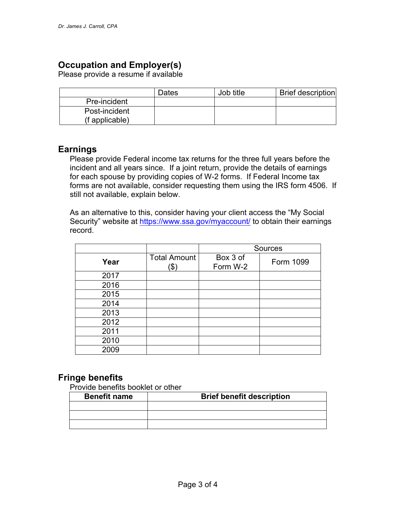# **Occupation and Employer(s)**

Please provide a resume if available

|                | Dates | Job title | <b>Brief description</b> |
|----------------|-------|-----------|--------------------------|
| Pre-incident   |       |           |                          |
| Post-incident  |       |           |                          |
| (f applicable) |       |           |                          |

#### **Earnings**

Please provide Federal income tax returns for the three full years before the incident and all years since. If a joint return, provide the details of earnings for each spouse by providing copies of W-2 forms. If Federal Income tax forms are not available, consider requesting them using the IRS form 4506. If still not available, explain below.

As an alternative to this, consider having your client access the "My Social Security" website at https://www.ssa.gov/myaccount/ to obtain their earnings record.

|      |                             | <b>Sources</b>       |           |
|------|-----------------------------|----------------------|-----------|
| Year | <b>Total Amount</b><br>'\$) | Box 3 of<br>Form W-2 | Form 1099 |
| 2017 |                             |                      |           |
| 2016 |                             |                      |           |
| 2015 |                             |                      |           |
| 2014 |                             |                      |           |
| 2013 |                             |                      |           |
| 2012 |                             |                      |           |
| 2011 |                             |                      |           |
| 2010 |                             |                      |           |
| 2009 |                             |                      |           |

#### **Fringe benefits**

Provide benefits booklet or other

| <b>Benefit name</b> | <b>Brief benefit description</b> |  |  |
|---------------------|----------------------------------|--|--|
|                     |                                  |  |  |
|                     |                                  |  |  |
|                     |                                  |  |  |